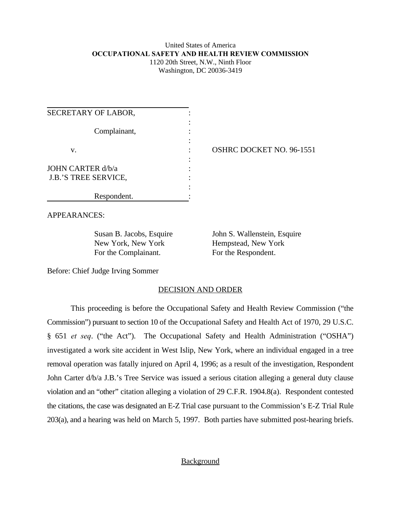### United States of America **OCCUPATIONAL SAFETY AND HEALTH REVIEW COMMISSION** 1120 20th Street, N.W., Ninth Floor Washington, DC 20036-3419

| SECRETARY OF LABOR,                                     |  |
|---------------------------------------------------------|--|
| Complainant,                                            |  |
| v.                                                      |  |
| <b>JOHN CARTER d/b/a</b><br><b>J.B.'S TREE SERVICE,</b> |  |
| Respondent.                                             |  |

OSHRC DOCKET NO. 96-1551

APPEARANCES:

New York, New York Hempstead, New York For the Complainant. For the Respondent.

Susan B. Jacobs, Esquire John S. Wallenstein, Esquire

Before: Chief Judge Irving Sommer

### DECISION AND ORDER

This proceeding is before the Occupational Safety and Health Review Commission ("the Commission") pursuant to section 10 of the Occupational Safety and Health Act of 1970, 29 U.S.C. § 651 *et seq*. ("the Act"). The Occupational Safety and Health Administration ("OSHA") investigated a work site accident in West Islip, New York, where an individual engaged in a tree removal operation was fatally injured on April 4, 1996; as a result of the investigation, Respondent John Carter d/b/a J.B.'s Tree Service was issued a serious citation alleging a general duty clause violation and an "other" citation alleging a violation of 29 C.F.R. 1904.8(a). Respondent contested the citations, the case was designated an E-Z Trial case pursuant to the Commission's E-Z Trial Rule 203(a), and a hearing was held on March 5, 1997. Both parties have submitted post-hearing briefs.

# **Background**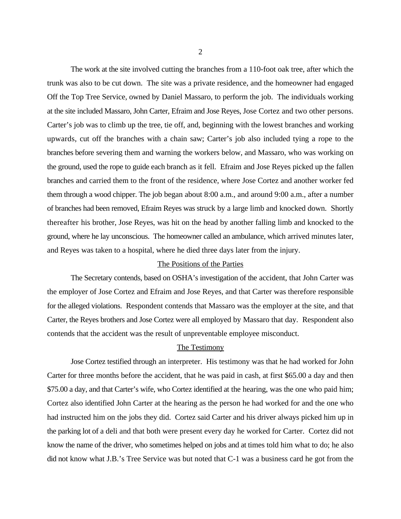The work at the site involved cutting the branches from a 110-foot oak tree, after which the trunk was also to be cut down. The site was a private residence, and the homeowner had engaged Off the Top Tree Service, owned by Daniel Massaro, to perform the job. The individuals working at the site included Massaro, John Carter, Efraim and Jose Reyes, Jose Cortez and two other persons. Carter's job was to climb up the tree, tie off, and, beginning with the lowest branches and working upwards, cut off the branches with a chain saw; Carter's job also included tying a rope to the branches before severing them and warning the workers below, and Massaro, who was working on the ground, used the rope to guide each branch as it fell. Efraim and Jose Reyes picked up the fallen branches and carried them to the front of the residence, where Jose Cortez and another worker fed them through a wood chipper. The job began about 8:00 a.m., and around 9:00 a.m., after a number of branches had been removed, Efraim Reyes was struck by a large limb and knocked down. Shortly thereafter his brother, Jose Reyes, was hit on the head by another falling limb and knocked to the ground, where he lay unconscious. The homeowner called an ambulance, which arrived minutes later, and Reyes was taken to a hospital, where he died three days later from the injury.

#### The Positions of the Parties

The Secretary contends, based on OSHA's investigation of the accident, that John Carter was the employer of Jose Cortez and Efraim and Jose Reyes, and that Carter was therefore responsible for the alleged violations. Respondent contends that Massaro was the employer at the site, and that Carter, the Reyes brothers and Jose Cortez were all employed by Massaro that day. Respondent also contends that the accident was the result of unpreventable employee misconduct.

### The Testimony

Jose Cortez testified through an interpreter. His testimony was that he had worked for John Carter for three months before the accident, that he was paid in cash, at first \$65.00 a day and then \$75.00 a day, and that Carter's wife, who Cortez identified at the hearing, was the one who paid him; Cortez also identified John Carter at the hearing as the person he had worked for and the one who had instructed him on the jobs they did. Cortez said Carter and his driver always picked him up in the parking lot of a deli and that both were present every day he worked for Carter. Cortez did not know the name of the driver, who sometimes helped on jobs and at times told him what to do; he also did not know what J.B.'s Tree Service was but noted that C-1 was a business card he got from the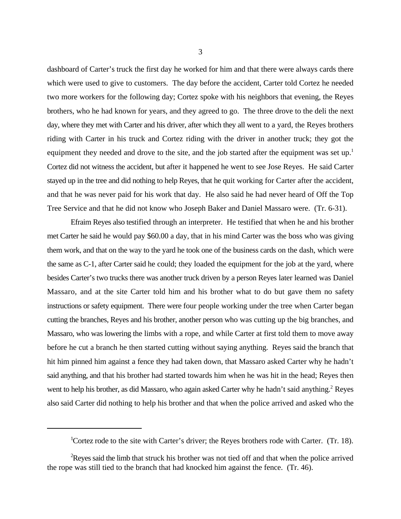dashboard of Carter's truck the first day he worked for him and that there were always cards there which were used to give to customers. The day before the accident, Carter told Cortez he needed two more workers for the following day; Cortez spoke with his neighbors that evening, the Reyes brothers, who he had known for years, and they agreed to go. The three drove to the deli the next day, where they met with Carter and his driver, after which they all went to a yard, the Reyes brothers riding with Carter in his truck and Cortez riding with the driver in another truck; they got the equipment they needed and drove to the site, and the job started after the equipment was set up.<sup>1</sup> Cortez did not witness the accident, but after it happened he went to see Jose Reyes. He said Carter stayed up in the tree and did nothing to help Reyes, that he quit working for Carter after the accident, and that he was never paid for his work that day. He also said he had never heard of Off the Top Tree Service and that he did not know who Joseph Baker and Daniel Massaro were. (Tr. 6-31).

Efraim Reyes also testified through an interpreter. He testified that when he and his brother met Carter he said he would pay \$60.00 a day, that in his mind Carter was the boss who was giving them work, and that on the way to the yard he took one of the business cards on the dash, which were the same as C-1, after Carter said he could; they loaded the equipment for the job at the yard, where besides Carter's two trucks there was another truck driven by a person Reyes later learned was Daniel Massaro, and at the site Carter told him and his brother what to do but gave them no safety instructions or safety equipment. There were four people working under the tree when Carter began cutting the branches, Reyes and his brother, another person who was cutting up the big branches, and Massaro, who was lowering the limbs with a rope, and while Carter at first told them to move away before he cut a branch he then started cutting without saying anything. Reyes said the branch that hit him pinned him against a fence they had taken down, that Massaro asked Carter why he hadn't said anything, and that his brother had started towards him when he was hit in the head; Reyes then went to help his brother, as did Massaro, who again asked Carter why he hadn't said anything.<sup>2</sup> Reyes also said Carter did nothing to help his brother and that when the police arrived and asked who the

<sup>&</sup>lt;sup>1</sup>Cortez rode to the site with Carter's driver; the Reyes brothers rode with Carter. (Tr. 18).

 $R$  Reyes said the limb that struck his brother was not tied off and that when the police arrived the rope was still tied to the branch that had knocked him against the fence. (Tr. 46).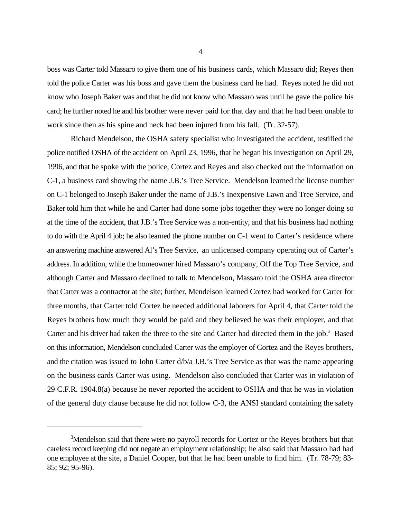boss was Carter told Massaro to give them one of his business cards, which Massaro did; Reyes then told the police Carter was his boss and gave them the business card he had. Reyes noted he did not know who Joseph Baker was and that he did not know who Massaro was until he gave the police his card; he further noted he and his brother were never paid for that day and that he had been unable to work since then as his spine and neck had been injured from his fall. (Tr. 32-57).

Richard Mendelson, the OSHA safety specialist who investigated the accident, testified the police notified OSHA of the accident on April 23, 1996, that he began his investigation on April 29, 1996, and that he spoke with the police, Cortez and Reyes and also checked out the information on C-1, a business card showing the name J.B.'s Tree Service. Mendelson learned the license number on C-1 belonged to Joseph Baker under the name of J.B.'s Inexpensive Lawn and Tree Service, and Baker told him that while he and Carter had done some jobs together they were no longer doing so at the time of the accident, that J.B.'s Tree Service was a non-entity, and that his business had nothing to do with the April 4 job; he also learned the phone number on C-1 went to Carter's residence where an answering machine answered Al's Tree Service, an unlicensed company operating out of Carter's address. In addition, while the homeowner hired Massaro's company, Off the Top Tree Service, and although Carter and Massaro declined to talk to Mendelson, Massaro told the OSHA area director that Carter was a contractor at the site; further, Mendelson learned Cortez had worked for Carter for three months, that Carter told Cortez he needed additional laborers for April 4, that Carter told the Reyes brothers how much they would be paid and they believed he was their employer, and that Carter and his driver had taken the three to the site and Carter had directed them in the job.<sup>3</sup> Based on this information, Mendelson concluded Carter was the employer of Cortez and the Reyes brothers, and the citation was issued to John Carter d/b/a J.B.'s Tree Service as that was the name appearing on the business cards Carter was using. Mendelson also concluded that Carter was in violation of 29 C.F.R. 1904.8(a) because he never reported the accident to OSHA and that he was in violation of the general duty clause because he did not follow C-3, the ANSI standard containing the safety

 $3$ Mendelson said that there were no payroll records for Cortez or the Reyes brothers but that careless record keeping did not negate an employment relationship; he also said that Massaro had had one employee at the site, a Daniel Cooper, but that he had been unable to find him. (Tr. 78-79; 83- 85; 92; 95-96).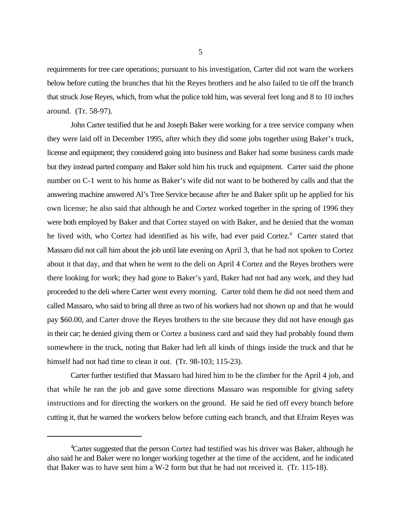requirements for tree care operations; pursuant to his investigation, Carter did not warn the workers below before cutting the branches that hit the Reyes brothers and he also failed to tie off the branch that struck Jose Reyes, which, from what the police told him, was several feet long and 8 to 10 inches around. (Tr. 58-97).

John Carter testified that he and Joseph Baker were working for a tree service company when they were laid off in December 1995, after which they did some jobs together using Baker's truck, license and equipment; they considered going into business and Baker had some business cards made but they instead parted company and Baker sold him his truck and equipment. Carter said the phone number on C-1 went to his home as Baker's wife did not want to be bothered by calls and that the answering machine answered Al's Tree Service because after he and Baker split up he applied for his own license; he also said that although he and Cortez worked together in the spring of 1996 they were both employed by Baker and that Cortez stayed on with Baker, and he denied that the woman he lived with, who Cortez had identified as his wife, had ever paid Cortez.<sup>4</sup> Carter stated that Massaro did not call him about the job until late evening on April 3, that he had not spoken to Cortez about it that day, and that when he went to the deli on April 4 Cortez and the Reyes brothers were there looking for work; they had gone to Baker's yard, Baker had not had any work, and they had proceeded to the deli where Carter went every morning. Carter told them he did not need them and called Massaro, who said to bring all three as two of his workers had not shown up and that he would pay \$60.00, and Carter drove the Reyes brothers to the site because they did not have enough gas in their car; he denied giving them or Cortez a business card and said they had probably found them somewhere in the truck, noting that Baker had left all kinds of things inside the truck and that he himself had not had time to clean it out. (Tr. 98-103; 115-23).

Carter further testified that Massaro had hired him to be the climber for the April 4 job, and that while he ran the job and gave some directions Massaro was responsible for giving safety instructions and for directing the workers on the ground. He said he tied off every branch before cutting it, that he warned the workers below before cutting each branch, and that Efraim Reyes was

<sup>&</sup>lt;sup>4</sup> Carter suggested that the person Cortez had testified was his driver was Baker, although he also said he and Baker were no longer working together at the time of the accident, and he indicated that Baker was to have sent him a W-2 form but that he had not received it. (Tr. 115-18).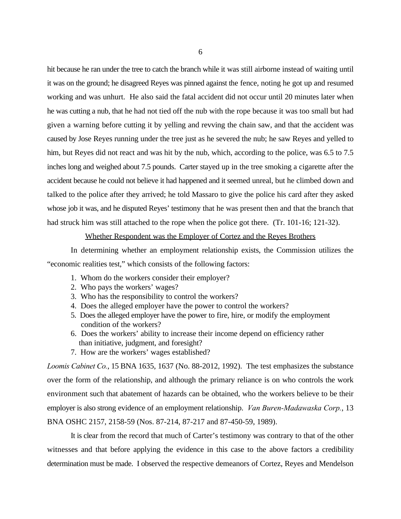hit because he ran under the tree to catch the branch while it was still airborne instead of waiting until it was on the ground; he disagreed Reyes was pinned against the fence, noting he got up and resumed working and was unhurt. He also said the fatal accident did not occur until 20 minutes later when he was cutting a nub, that he had not tied off the nub with the rope because it was too small but had given a warning before cutting it by yelling and revving the chain saw, and that the accident was caused by Jose Reyes running under the tree just as he severed the nub; he saw Reyes and yelled to him, but Reyes did not react and was hit by the nub, which, according to the police, was 6.5 to 7.5 inches long and weighed about 7.5 pounds. Carter stayed up in the tree smoking a cigarette after the accident because he could not believe it had happened and it seemed unreal, but he climbed down and talked to the police after they arrived; he told Massaro to give the police his card after they asked whose job it was, and he disputed Reyes' testimony that he was present then and that the branch that had struck him was still attached to the rope when the police got there. (Tr. 101-16; 121-32).

#### Whether Respondent was the Employer of Cortez and the Reyes Brothers

In determining whether an employment relationship exists, the Commission utilizes the "economic realities test," which consists of the following factors:

- 1. Whom do the workers consider their employer?
- 2. Who pays the workers' wages?
- 3. Who has the responsibility to control the workers?
- 4. Does the alleged employer have the power to control the workers?
- 5. Does the alleged employer have the power to fire, hire, or modify the employment condition of the workers?
- 6. Does the workers' ability to increase their income depend on efficiency rather than initiative, judgment, and foresight?
- 7. How are the workers' wages established?

*Loomis Cabinet Co.*, 15 BNA 1635, 1637 (No. 88-2012, 1992). The test emphasizes the substance over the form of the relationship, and although the primary reliance is on who controls the work environment such that abatement of hazards can be obtained, who the workers believe to be their employer is also strong evidence of an employment relationship. *Van Buren-Madawaska Corp.*, 13 BNA OSHC 2157, 2158-59 (Nos. 87-214, 87-217 and 87-450-59, 1989).

It is clear from the record that much of Carter's testimony was contrary to that of the other witnesses and that before applying the evidence in this case to the above factors a credibility determination must be made. I observed the respective demeanors of Cortez, Reyes and Mendelson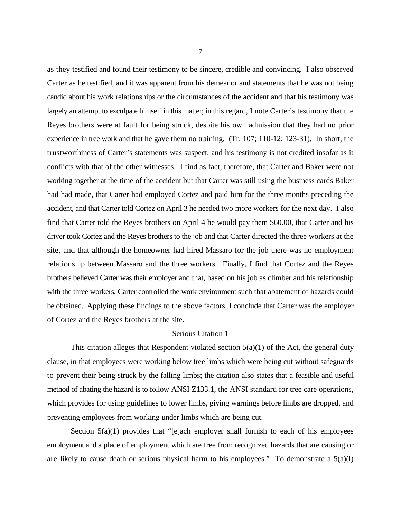as they testified and found their testimony to be sincere, credible and convincing. I also observed Carter as he testified, and it was apparent from his demeanor and statements that he was not being candid about his work relationships or the circumstances of the accident and that his testimony was largely an attempt to exculpate himself in this matter; in this regard, I note Carter's testimony that the Reyes brothers were at fault for being struck, despite his own admission that they had no prior experience in tree work and that he gave them no training. (Tr. 107; 110-12; 123-31). In short, the trustworthiness of Carter's statements was suspect, and his testimony is not credited insofar as it conflicts with that of the other witnesses. I find as fact, therefore, that Carter and Baker were not working together at the time of the accident but that Carter was still using the business cards Baker had had made, that Carter had employed Cortez and paid him for the three months preceding the accident, and that Carter told Cortez on April 3 he needed two more workers for the next day. I also find that Carter told the Reyes brothers on April 4 he would pay them \$60.00, that Carter and his driver took Cortez and the Reyes brothers to the job and that Carter directed the three workers at the site, and that although the homeowner had hired Massaro for the job there was no employment relationship between Massaro and the three workers. Finally, I find that Cortez and the Reyes brothers believed Carter was their employer and that, based on his job as climber and his relationship with the three workers, Carter controlled the work environment such that abatement of hazards could be obtained. Applying these findings to the above factors, I conclude that Carter was the employer of Cortez and the Reyes brothers at the site.

#### Serious Citation 1

This citation alleges that Respondent violated section  $5(a)(1)$  of the Act, the general duty clause, in that employees were working below tree limbs which were being cut without safeguards to prevent their being struck by the falling limbs; the citation also states that a feasible and useful method of abating the hazard is to follow ANSI Z133.1, the ANSI standard for tree care operations, which provides for using guidelines to lower limbs, giving warnings before limbs are dropped, and preventing employees from working under limbs which are being cut.

Section  $5(a)(1)$  provides that "[e]ach employer shall furnish to each of his employees employment and a place of employment which are free from recognized hazards that are causing or are likely to cause death or serious physical harm to his employees." To demonstrate a  $5(a)(1)$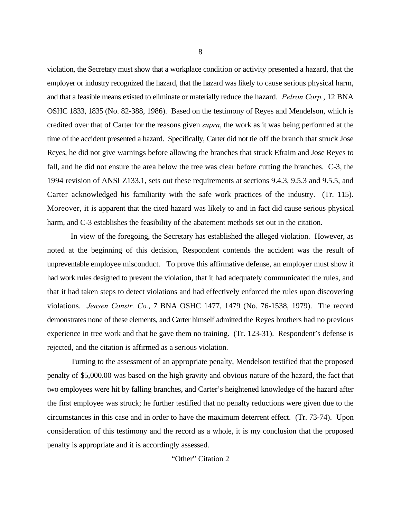violation, the Secretary must show that a workplace condition or activity presented a hazard, that the employer or industry recognized the hazard, that the hazard was likely to cause serious physical harm, and that a feasible means existed to eliminate or materially reduce the hazard. *Pelron Corp.*, 12 BNA OSHC 1833, 1835 (No. 82-388, 1986). Based on the testimony of Reyes and Mendelson, which is credited over that of Carter for the reasons given *supra*, the work as it was being performed at the time of the accident presented a hazard. Specifically, Carter did not tie off the branch that struck Jose Reyes, he did not give warnings before allowing the branches that struck Efraim and Jose Reyes to fall, and he did not ensure the area below the tree was clear before cutting the branches. C-3, the 1994 revision of ANSI Z133.1, sets out these requirements at sections 9.4.3, 9.5.3 and 9.5.5, and Carter acknowledged his familiarity with the safe work practices of the industry. (Tr. 115). Moreover, it is apparent that the cited hazard was likely to and in fact did cause serious physical harm, and C-3 establishes the feasibility of the abatement methods set out in the citation.

In view of the foregoing, the Secretary has established the alleged violation. However, as noted at the beginning of this decision, Respondent contends the accident was the result of unpreventable employee misconduct. To prove this affirmative defense, an employer must show it had work rules designed to prevent the violation, that it had adequately communicated the rules, and that it had taken steps to detect violations and had effectively enforced the rules upon discovering violations. *Jensen Constr. Co.*, 7 BNA OSHC 1477, 1479 (No. 76-1538, 1979). The record demonstrates none of these elements, and Carter himself admitted the Reyes brothers had no previous experience in tree work and that he gave them no training. (Tr. 123-31). Respondent's defense is rejected, and the citation is affirmed as a serious violation.

Turning to the assessment of an appropriate penalty, Mendelson testified that the proposed penalty of \$5,000.00 was based on the high gravity and obvious nature of the hazard, the fact that two employees were hit by falling branches, and Carter's heightened knowledge of the hazard after the first employee was struck; he further testified that no penalty reductions were given due to the circumstances in this case and in order to have the maximum deterrent effect. (Tr. 73-74). Upon consideration of this testimony and the record as a whole, it is my conclusion that the proposed penalty is appropriate and it is accordingly assessed.

#### "Other" Citation 2